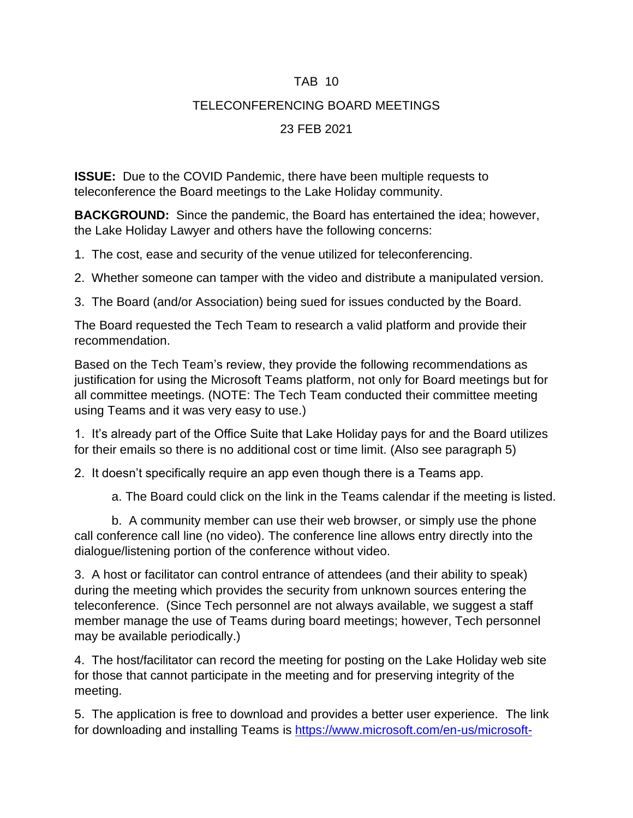#### TAB 10

# TELECONFERENCING BOARD MEETINGS

# 23 FEB 2021

**ISSUE:** Due to the COVID Pandemic, there have been multiple requests to teleconference the Board meetings to the Lake Holiday community.

**BACKGROUND:** Since the pandemic, the Board has entertained the idea; however, the Lake Holiday Lawyer and others have the following concerns:

1. The cost, ease and security of the venue utilized for teleconferencing.

2. Whether someone can tamper with the video and distribute a manipulated version.

3. The Board (and/or Association) being sued for issues conducted by the Board.

The Board requested the Tech Team to research a valid platform and provide their recommendation.

Based on the Tech Team's review, they provide the following recommendations as justification for using the Microsoft Teams platform, not only for Board meetings but for all committee meetings. (NOTE: The Tech Team conducted their committee meeting using Teams and it was very easy to use.)

1. It's already part of the Office Suite that Lake Holiday pays for and the Board utilizes for their emails so there is no additional cost or time limit. (Also see paragraph 5)

2. It doesn't specifically require an app even though there is a Teams app.

a. The Board could click on the link in the Teams calendar if the meeting is listed.

b. A community member can use their web browser, or simply use the phone call conference call line (no video). The conference line allows entry directly into the dialogue/listening portion of the conference without video.

3. A host or facilitator can control entrance of attendees (and their ability to speak) during the meeting which provides the security from unknown sources entering the teleconference. (Since Tech personnel are not always available, we suggest a staff member manage the use of Teams during board meetings; however, Tech personnel may be available periodically.)

4. The host/facilitator can record the meeting for posting on the Lake Holiday web site for those that cannot participate in the meeting and for preserving integrity of the meeting.

5. The application is free to download and provides a better user experience. The link for downloading and installing Teams is [https://www.microsoft.com/en-us/microsoft-](https://www.microsoft.com/en-us/microsoft-teams/download-app)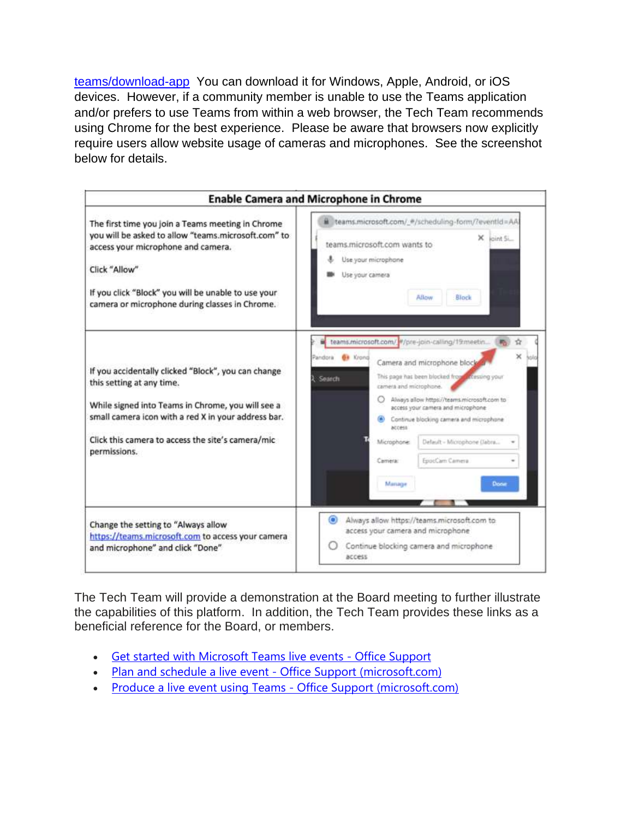[teams/download-app](https://www.microsoft.com/en-us/microsoft-teams/download-app) You can download it for Windows, Apple, Android, or iOS devices. However, if a community member is unable to use the Teams application and/or prefers to use Teams from within a web browser, the Tech Team recommends using Chrome for the best experience. Please be aware that browsers now explicitly require users allow website usage of cameras and microphones. See the screenshot below for details.



The Tech Team will provide a demonstration at the Board meeting to further illustrate the capabilities of this platform. In addition, the Tech Team provides these links as a beneficial reference for the Board, or members.

- Get started with [Microsoft](https://support.microsoft.com/en-us/office/get-started-with-microsoft-teams-live-events-d077fec2-a058-483e-9ab5-1494afda578a) Teams live events Office Support
- Plan and schedule a live event Office Support [\(microsoft.com\)](https://support.microsoft.com/en-us/office/plan-and-schedule-a-live-event-f92363a0-6d98-46d2-bdd9-f2248075e502)
- Produce a live event using Teams Office Support [\(microsoft.com\)](https://support.microsoft.com/en-us/office/produce-a-live-event-using-teams-591bd694-121d-405c-b26d-730315e45a22)